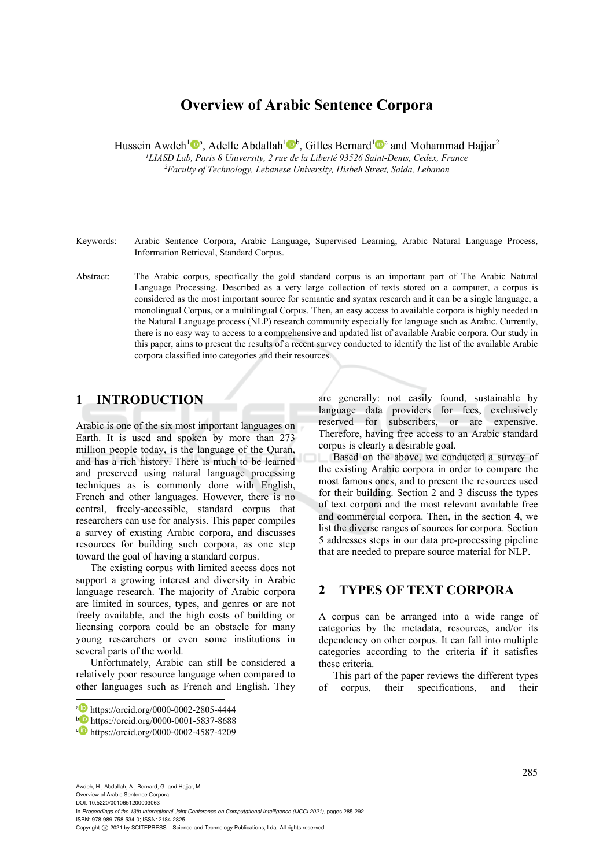# **Overview of Arabic Sentence Corpora**

Hussein Awdeh<sup>1</sup> $\mathbf{D}^a$ , Adelle Abdallah<sup>1</sup> $\mathbf{D}^b$ , Gilles Bernard<sup>1</sup> $\mathbf{D}^c$  and Mohammad Hajjar<sup>2</sup>

*1LIASD Lab, Paris 8 University, 2 rue de la Liberté 93526 Saint-Denis, Cedex, France 2Faculty of Technology, Lebanese University, Hisbeh Street, Saida, Lebanon* 

- Keywords: Arabic Sentence Corpora, Arabic Language, Supervised Learning, Arabic Natural Language Process, Information Retrieval, Standard Corpus.
- Abstract: The Arabic corpus, specifically the gold standard corpus is an important part of The Arabic Natural Language Processing. Described as a very large collection of texts stored on a computer, a corpus is considered as the most important source for semantic and syntax research and it can be a single language, a monolingual Corpus, or a multilingual Corpus. Then, an easy access to available corpora is highly needed in the Natural Language process (NLP) research community especially for language such as Arabic. Currently, there is no easy way to access to a comprehensive and updated list of available Arabic corpora. Our study in this paper, aims to present the results of a recent survey conducted to identify the list of the available Arabic corpora classified into categories and their resources.

# **1 INTRODUCTION**

Arabic is one of the six most important languages on Earth. It is used and spoken by more than 273 million people today, is the language of the Quran, and has a rich history. There is much to be learned and preserved using natural language processing techniques as is commonly done with English, French and other languages. However, there is no central, freely-accessible, standard corpus that researchers can use for analysis. This paper compiles a survey of existing Arabic corpora, and discusses resources for building such corpora, as one step toward the goal of having a standard corpus.

The existing corpus with limited access does not support a growing interest and diversity in Arabic language research. The majority of Arabic corpora are limited in sources, types, and genres or are not freely available, and the high costs of building or licensing corpora could be an obstacle for many young researchers or even some institutions in several parts of the world.

Unfortunately, Arabic can still be considered a relatively poor resource language when compared to other languages such as French and English. They are generally: not easily found, sustainable by language data providers for fees, exclusively reserved for subscribers, or are expensive. Therefore, having free access to an Arabic standard corpus is clearly a desirable goal.

Based on the above, we conducted a survey of the existing Arabic corpora in order to compare the most famous ones, and to present the resources used for their building. Section 2 and 3 discuss the types of text corpora and the most relevant available free and commercial corpora. Then, in the section 4, we list the diverse ranges of sources for corpora. Section 5 addresses steps in our data pre-processing pipeline that are needed to prepare source material for NLP.

### **2 TYPES OF TEXT CORPORA**

A corpus can be arranged into a wide range of categories by the metadata, resources, and/or its dependency on other corpus. It can fall into multiple categories according to the criteria if it satisfies these criteria.

This part of the paper reviews the different types of corpus, their specifications, and their

Awdeh, H., Abdallah, A., Bernard, G. and Hajjar, M. Overview of Arabic Sentence Corpora. DOI: 10.5220/0010651200003063 In *Proceedings of the 13th International Joint Conference on Computational Intelligence (IJCCI 2021)*, pages 285-292 ISBN: 978-989-758-534-0; ISSN: 2184-2825 Copyright © 2021 by SCITEPRESS - Science and Technology Publications, Lda. All rights reserved

a https://orcid.org/0000-0002-2805-4444<br>b https://orcid.org/0000-0001-5837-8688<br>c https://orcid.org/0000-0002-4587-4209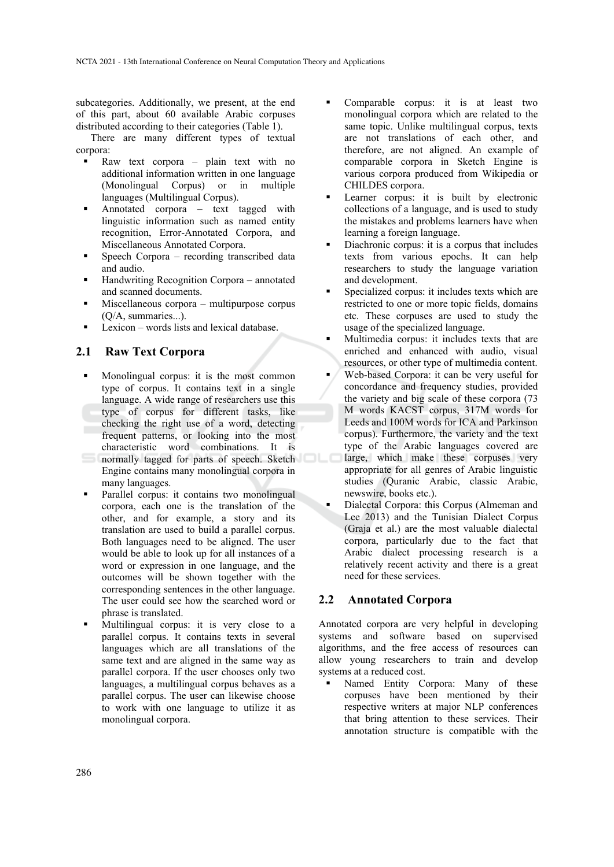subcategories. Additionally, we present, at the end of this part, about 60 available Arabic corpuses distributed according to their categories (Table 1).

There are many different types of textual corpora:

- Raw text corpora plain text with no additional information written in one language (Monolingual Corpus) or in multiple languages (Multilingual Corpus).
- Annotated corpora text tagged with linguistic information such as named entity recognition, Error-Annotated Corpora, and Miscellaneous Annotated Corpora.
- Speech Corpora recording transcribed data and audio.
- Handwriting Recognition Corpora annotated and scanned documents.
- Miscellaneous corpora multipurpose corpus (Q/A, summaries...).
- Lexicon words lists and lexical database.

#### **2.1 Raw Text Corpora**

- Monolingual corpus: it is the most common type of corpus. It contains text in a single language. A wide range of researchers use this type of corpus for different tasks, like checking the right use of a word, detecting frequent patterns, or looking into the most characteristic word combinations. It is normally tagged for parts of speech. Sketch Engine contains many monolingual corpora in many languages.
- Parallel corpus: it contains two monolingual corpora, each one is the translation of the other, and for example, a story and its translation are used to build a parallel corpus. Both languages need to be aligned. The user would be able to look up for all instances of a word or expression in one language, and the outcomes will be shown together with the corresponding sentences in the other language. The user could see how the searched word or phrase is translated.
- Multilingual corpus: it is very close to a parallel corpus. It contains texts in several languages which are all translations of the same text and are aligned in the same way as parallel corpora. If the user chooses only two languages, a multilingual corpus behaves as a parallel corpus. The user can likewise choose to work with one language to utilize it as monolingual corpora.
- Comparable corpus: it is at least two monolingual corpora which are related to the same topic. Unlike multilingual corpus, texts are not translations of each other, and therefore, are not aligned. An example of comparable corpora in Sketch Engine is various corpora produced from Wikipedia or CHILDES corpora.
- Learner corpus: it is built by electronic collections of a language, and is used to study the mistakes and problems learners have when learning a foreign language.
- Diachronic corpus: it is a corpus that includes texts from various epochs. It can help researchers to study the language variation and development.
- Specialized corpus: it includes texts which are restricted to one or more topic fields, domains etc. These corpuses are used to study the usage of the specialized language.
- Multimedia corpus: it includes texts that are enriched and enhanced with audio, visual resources, or other type of multimedia content.
- Web-based Corpora: it can be very useful for concordance and frequency studies, provided the variety and big scale of these corpora (73 M words KACST corpus, 317M words for Leeds and 100M words for ICA and Parkinson corpus). Furthermore, the variety and the text type of the Arabic languages covered are large, which make these corpuses very appropriate for all genres of Arabic linguistic studies (Quranic Arabic, classic Arabic, newswire, books etc.).
- Dialectal Corpora: this Corpus (Almeman and Lee 2013) and the Tunisian Dialect Corpus (Graja et al.) are the most valuable dialectal corpora, particularly due to the fact that Arabic dialect processing research is a relatively recent activity and there is a great need for these services.

#### **2.2 Annotated Corpora**

Annotated corpora are very helpful in developing systems and software based on supervised algorithms, and the free access of resources can allow young researchers to train and develop systems at a reduced cost.

 Named Entity Corpora: Many of these corpuses have been mentioned by their respective writers at major NLP conferences that bring attention to these services. Their annotation structure is compatible with the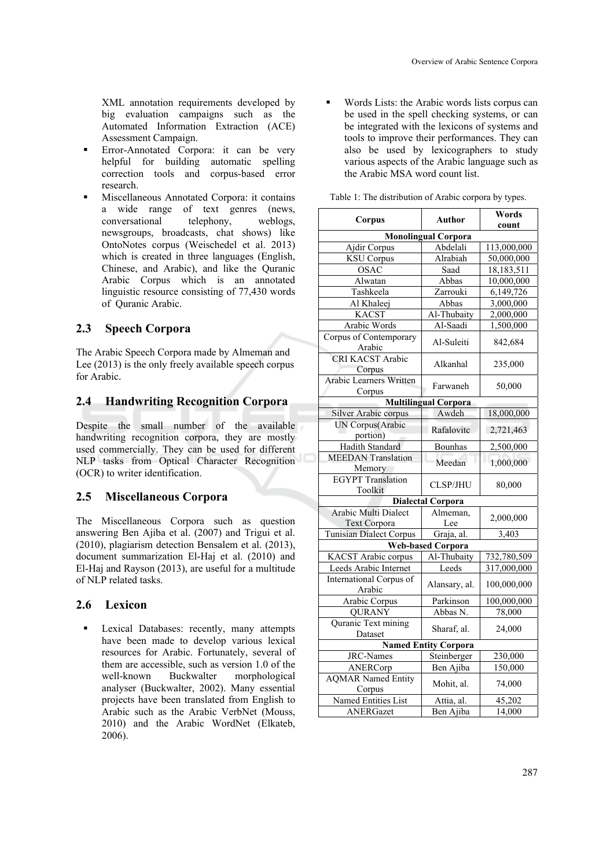XML annotation requirements developed by big evaluation campaigns such as the Automated Information Extraction (ACE) Assessment Campaign.

- Error-Annotated Corpora: it can be very helpful for building automatic spelling correction tools and corpus-based error research.
- Miscellaneous Annotated Corpora: it contains a wide range of text genres (news, conversational telephony, weblogs, newsgroups, broadcasts, chat shows) like OntoNotes corpus (Weischedel et al. 2013) which is created in three languages (English, Chinese, and Arabic), and like the Quranic Arabic Corpus which is an annotated linguistic resource consisting of 77,430 words of Quranic Arabic.

### **2.3 Speech Corpora**

The Arabic Speech Corpora made by Almeman and Lee (2013) is the only freely available speech corpus for Arabic.

### **2.4 Handwriting Recognition Corpora**

Despite the small number of the available handwriting recognition corpora, they are mostly used commercially. They can be used for different NLP tasks from Optical Character Recognition (OCR) to writer identification.

### **2.5 Miscellaneous Corpora**

The Miscellaneous Corpora such as question answering Ben Ajiba et al. (2007) and Trigui et al. (2010), plagiarism detection Bensalem et al. (2013), document summarization El-Haj et al. (2010) and El-Haj and Rayson (2013), are useful for a multitude of NLP related tasks.

### **2.6 Lexicon**

 Lexical Databases: recently, many attempts have been made to develop various lexical resources for Arabic. Fortunately, several of them are accessible, such as version 1.0 of the well-known Buckwalter morphological analyser (Buckwalter, 2002). Many essential projects have been translated from English to Arabic such as the Arabic VerbNet (Mouss, 2010) and the Arabic WordNet (Elkateb, 2006).

 Words Lists: the Arabic words lists corpus can be used in the spell checking systems, or can be integrated with the lexicons of systems and tools to improve their performances. They can also be used by lexicographers to study various aspects of the Arabic language such as the Arabic MSA word count list.

| Corpus                              | Author                      | Words                |
|-------------------------------------|-----------------------------|----------------------|
|                                     |                             | count                |
|                                     | <b>Monolingual Corpora</b>  |                      |
| Ajdir Corpus                        | Abdelali                    | 113,000,000          |
| <b>KSU</b> Corpus                   | Alrabiah                    | 50,000,000           |
| OSAC                                | Saad                        | 18,183,511           |
| Alwatan                             | Abbas                       | 10,000,000           |
| Tashkeela                           | Zarrouki                    | 6,149,726            |
| Al Khaleej                          | Abbas                       | 3,000,000            |
| <b>KACST</b>                        | Al-Thubaity                 | 2,000,000            |
| Arabic Words                        | Al-Saadi                    | 1,500,000            |
| Corpus of Contemporary<br>Arabic    | Al-Suleiti                  | 842,684              |
| <b>CRI KACST Arabic</b><br>Corpus   | Alkanhal                    | 235,000              |
| Arabic Learners Written<br>Corpus   | Farwaneh                    | 50,000               |
|                                     | <b>Multilingual Corpora</b> |                      |
| Silver Arabic corpus                | Awdeh                       | 18,000,000           |
| UN Corpus(Arabic<br>portion)        | Rafalovitc                  | 2,721,463            |
| Hadith Standard                     | <b>Bounhas</b>              | 2,500,000            |
| <b>MEEDAN</b> Translation           |                             |                      |
| Memory                              | Meedan                      | 1,000,000            |
| <b>EGYPT</b> Translation<br>Toolkit | <b>CLSP/JHU</b>             | 80,000               |
|                                     | <b>Dialectal Corpora</b>    |                      |
| Arabic Multi Dialect                | Almeman,                    |                      |
| <b>Text Corpora</b>                 | Lee                         | 2,000,000            |
| Tunisian Dialect Corpus             | Graja, al.                  | 3,403                |
|                                     | <b>Web-based Corpora</b>    |                      |
| KACST Arabic corpus                 | Al-Thubaity                 | 732,780,509          |
| Leeds Arabic Internet               | Leeds                       | 317,000,000          |
| International Corpus of<br>Arabic   | Alansary, al.               | 100,000,000          |
| Arabic Corpus                       | Parkinson                   | 100,000,000          |
| <b>QURANY</b>                       | Abbas N.                    | 78,000               |
| Quranic Text mining<br>Dataset      | Sharaf, al.                 | 24,000               |
|                                     | <b>Named Entity Corpora</b> |                      |
| <b>JRC-Names</b>                    | Steinberger                 | $\overline{230,}000$ |
| ANERCorp                            | Ben Ajiba                   | 150,000              |
| <b>AQMAR Named Entity</b>           |                             |                      |
| Corpus                              | Mohit, al.                  | 74,000               |
| Named Entities List                 | Attia, al.                  | 45,202               |
| ANERGazet                           | Ben Ajiba                   | 14,000               |

| Table 1: The distribution of Arabic corpora by types. |  |  |
|-------------------------------------------------------|--|--|
|                                                       |  |  |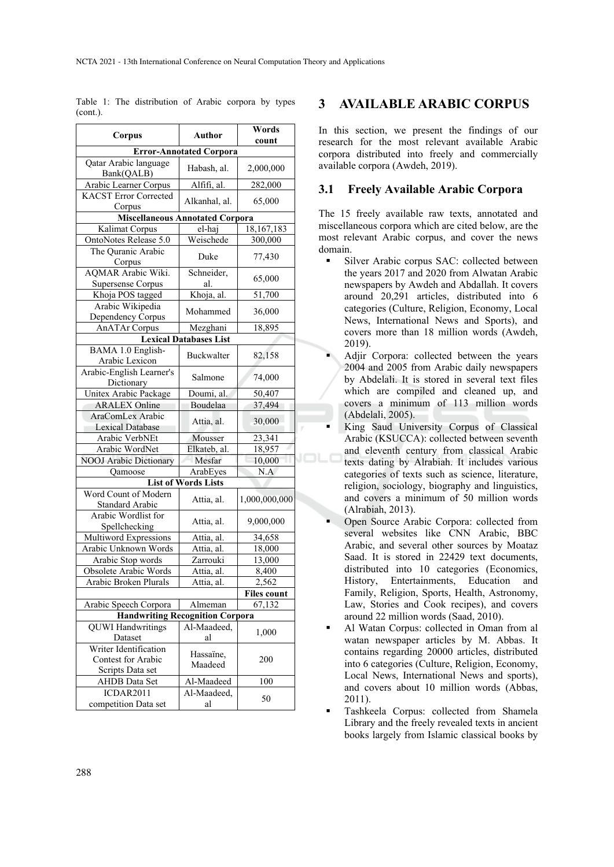| Corpus                                  | <b>Author</b>                  | Words         |  |  |
|-----------------------------------------|--------------------------------|---------------|--|--|
|                                         |                                | count         |  |  |
|                                         | <b>Error-Annotated Corpora</b> |               |  |  |
| Qatar Arabic language<br>Bank(QALB)     | Habash, al.                    | 2,000,000     |  |  |
| Arabic Learner Corpus                   | Alfifi, al.                    | 282,000       |  |  |
| <b>KACST Error Corrected</b><br>Corpus  | Alkanhal, al.                  | 65,000        |  |  |
| <b>Miscellaneous Annotated Corpora</b>  |                                |               |  |  |
| Kalimat Corpus                          | el-haj                         | 18,167,183    |  |  |
| OntoNotes Release 5.0                   | Weischede                      | 300,000       |  |  |
| The Quranic Arabic                      | Duke                           | 77,430        |  |  |
| Corpus<br><b>AQMAR</b> Arabic Wiki.     | Schneider,                     |               |  |  |
|                                         |                                | 65,000        |  |  |
| Supersense Corpus<br>Khoja POS tagged   | al.<br>Khoja, al.              | 51,700        |  |  |
| Arabic Wikipedia                        |                                |               |  |  |
| Dependency Corpus                       | Mohammed                       | 36,000        |  |  |
| <b>AnATAr Corpus</b>                    | Mezghani                       | 18,895        |  |  |
|                                         | <b>Lexical Databases List</b>  |               |  |  |
| BAMA 1.0 English-<br>Arabic Lexicon     | Buckwalter                     | 82,158        |  |  |
| Arabic-English Learner's<br>Dictionary  | Salmone                        | 74,000        |  |  |
| Unitex Arabic Package                   | Doumi, al.                     | 50,407        |  |  |
| <b>ARALEX Online</b>                    | Boudelaa                       | 37,494        |  |  |
| AraComLex Arabic                        |                                |               |  |  |
| Lexical Database                        | Attia, al.                     | 30,000        |  |  |
| Arabic VerbNEt                          | Mousser                        | 23,341        |  |  |
| Arabic WordNet                          | Elkateb, al.                   | 18,957        |  |  |
| <b>NOOJ</b> Arabic Dictionary           | Mesfar                         | 10,000        |  |  |
| Qamoose                                 | ArabEyes                       | N.A           |  |  |
|                                         | <b>List of Words Lists</b>     |               |  |  |
| Word Count of Modern<br>Standard Arabic | Attia, al.                     | 1,000,000,000 |  |  |
| Arabic Wordlist for<br>Spellchecking    | Attia, al.                     | 9,000,000     |  |  |
| Multiword Expressions                   | Attia, al.                     | 34,658        |  |  |
| Arabic Unknown Words                    | Attia, al.                     | 18,000        |  |  |
| Arabic Stop words                       | Zarrouki                       | 13,000        |  |  |
| Obsolete Arabic Words                   | Attia, al.                     | 8,400         |  |  |
| Arabic Broken Plurals                   | Attia, al.                     | 2,562         |  |  |
|                                         |                                | Files count   |  |  |
| Arabic Speech Corpora                   | Almeman                        | 67,132        |  |  |
| <b>Handwriting Recognition Corpora</b>  |                                |               |  |  |
| <b>QUWI Handwritings</b>                | Al-Maadeed,                    |               |  |  |
| Dataset                                 | al                             | 1,000         |  |  |
| Writer Identification                   | Hassaïne,                      |               |  |  |
| Contest for Arabic                      | Maadeed                        | 200           |  |  |
| Scripts Data set                        |                                |               |  |  |
| <b>AHDB</b> Data Set                    | Al-Maadeed                     | 100           |  |  |
| ICDAR2011                               | Al-Maadeed,                    | 50            |  |  |
| competition Data set                    | al                             |               |  |  |

Table 1: The distribution of Arabic corpora by types (cont.).

### **3 AVAILABLE ARABIC CORPUS**

In this section, we present the findings of our research for the most relevant available Arabic corpora distributed into freely and commercially available corpora (Awdeh, 2019).

#### **3.1 Freely Available Arabic Corpora**

The 15 freely available raw texts, annotated and miscellaneous corpora which are cited below, are the most relevant Arabic corpus, and cover the news domain.

- Silver Arabic corpus SAC: collected between the years 2017 and 2020 from Alwatan Arabic newspapers by Awdeh and Abdallah. It covers around 20,291 articles, distributed into 6 categories (Culture, Religion, Economy, Local News, International News and Sports), and covers more than 18 million words (Awdeh, 2019).
- Adjir Corpora: collected between the years 2004 and 2005 from Arabic daily newspapers by Abdelali. It is stored in several text files which are compiled and cleaned up, and covers a minimum of 113 million words (Abdelali, 2005).
- King Saud University Corpus of Classical Arabic (KSUCCA): collected between seventh and eleventh century from classical Arabic texts dating by Alrabiah. It includes various categories of texts such as science, literature, religion, sociology, biography and linguistics, and covers a minimum of 50 million words (Alrabiah, 2013).
- Open Source Arabic Corpora: collected from several websites like CNN Arabic, BBC Arabic, and several other sources by Moataz Saad. It is stored in 22429 text documents, distributed into 10 categories (Economics, History, Entertainments, Education and Family, Religion, Sports, Health, Astronomy, Law, Stories and Cook recipes), and covers around 22 million words (Saad, 2010).
- Al Watan Corpus: collected in Oman from al watan newspaper articles by M. Abbas. It contains regarding 20000 articles, distributed into 6 categories (Culture, Religion, Economy, Local News, International News and sports), and covers about 10 million words (Abbas, 2011).
- Tashkeela Corpus: collected from Shamela Library and the freely revealed texts in ancient books largely from Islamic classical books by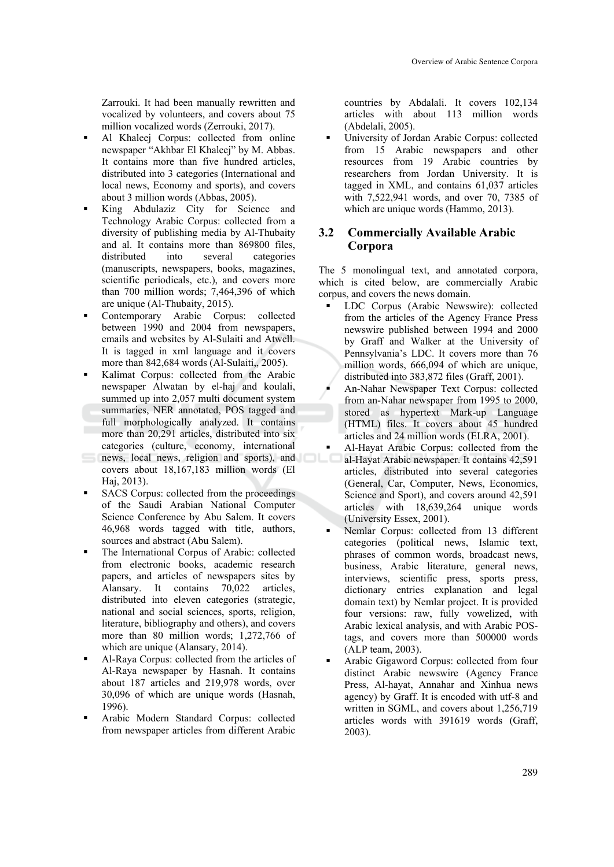Zarrouki. It had been manually rewritten and vocalized by volunteers, and covers about 75 million vocalized words (Zerrouki, 2017).

- Al Khaleej Corpus: collected from online newspaper "Akhbar El Khaleej" by M. Abbas. It contains more than five hundred articles, distributed into 3 categories (International and local news, Economy and sports), and covers about 3 million words (Abbas, 2005).
- King Abdulaziz City for Science and Technology Arabic Corpus: collected from a diversity of publishing media by Al-Thubaity and al. It contains more than 869800 files, distributed into several categories (manuscripts, newspapers, books, magazines, scientific periodicals, etc.), and covers more than 700 million words; 7,464,396 of which are unique (Al-Thubaity, 2015).
- Contemporary Arabic Corpus: collected between 1990 and 2004 from newspapers, emails and websites by Al-Sulaiti and Atwell. It is tagged in xml language and it covers more than 842,684 words (Al-Sulaiti, 2005).
- Kalimat Corpus: collected from the Arabic newspaper Alwatan by el-haj and koulali, summed up into 2,057 multi document system summaries, NER annotated, POS tagged and full morphologically analyzed. It contains more than 20,291 articles, distributed into six categories (culture, economy, international news, local news, religion and sports), and
- covers about 18,167,183 million words (El Haj, 2013).
- SACS Corpus: collected from the proceedings of the Saudi Arabian National Computer Science Conference by Abu Salem. It covers 46,968 words tagged with title, authors, sources and abstract (Abu Salem).
- The International Corpus of Arabic: collected from electronic books, academic research papers, and articles of newspapers sites by Alansary. It contains 70,022 articles, distributed into eleven categories (strategic, national and social sciences, sports, religion, literature, bibliography and others), and covers more than 80 million words; 1,272,766 of which are unique (Alansary, 2014).
- Al-Raya Corpus: collected from the articles of Al-Raya newspaper by Hasnah. It contains about 187 articles and 219,978 words, over 30,096 of which are unique words (Hasnah, 1996).
- Arabic Modern Standard Corpus: collected from newspaper articles from different Arabic

countries by Abdalali. It covers 102,134 articles with about 113 million words (Abdelali, 2005).

 University of Jordan Arabic Corpus: collected from 15 Arabic newspapers and other resources from 19 Arabic countries by researchers from Jordan University. It is tagged in XML, and contains 61,037 articles with 7,522,941 words, and over 70, 7385 of which are unique words (Hammo, 2013).

#### **3.2 Commercially Available Arabic Corpora**

The 5 monolingual text, and annotated corpora, which is cited below, are commercially Arabic corpus, and covers the news domain.

- LDC Corpus (Arabic Newswire): collected from the articles of the Agency France Press newswire published between 1994 and 2000 by Graff and Walker at the University of Pennsylvania's LDC. It covers more than 76 million words, 666,094 of which are unique, distributed into 383,872 files (Graff, 2001).
- An-Nahar Newspaper Text Corpus: collected from an-Nahar newspaper from 1995 to 2000, stored as hypertext Mark-up Language (HTML) files. It covers about 45 hundred articles and 24 million words (ELRA, 2001).
- Al-Hayat Arabic Corpus: collected from the al-Hayat Arabic newspaper. It contains 42,591 articles, distributed into several categories (General, Car, Computer, News, Economics, Science and Sport), and covers around 42,591 articles with 18,639,264 unique words (University Essex, 2001).
- Nemlar Corpus: collected from 13 different categories (political news, Islamic text, phrases of common words, broadcast news, business, Arabic literature, general news, interviews, scientific press, sports press, dictionary entries explanation and legal domain text) by Nemlar project. It is provided four versions: raw, fully vowelized, with Arabic lexical analysis, and with Arabic POStags, and covers more than 500000 words (ALP team, 2003).
- Arabic Gigaword Corpus: collected from four distinct Arabic newswire (Agency France Press, Al-hayat, Annahar and Xinhua news agency) by Graff. It is encoded with utf-8 and written in SGML, and covers about 1,256,719 articles words with 391619 words (Graff, 2003).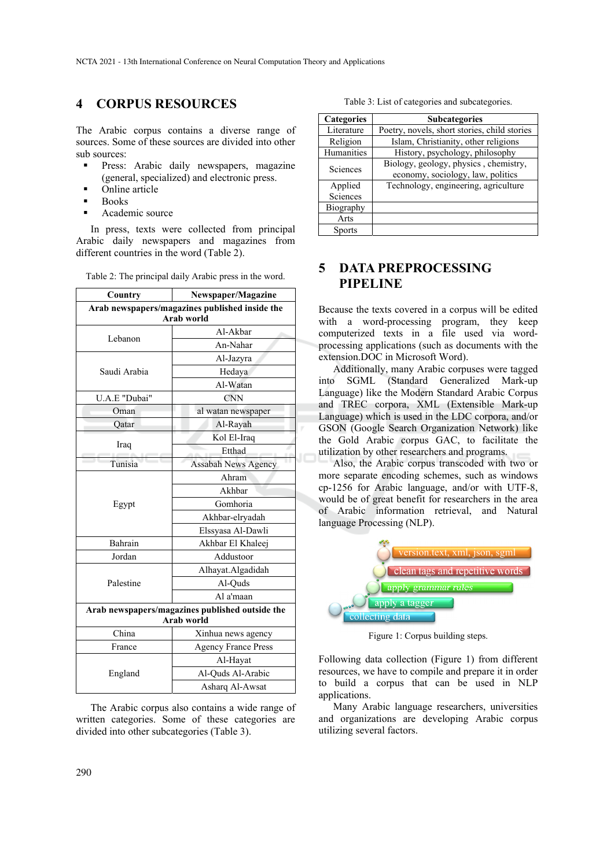### **4 CORPUS RESOURCES**

The Arabic corpus contains a diverse range of sources. Some of these sources are divided into other sub sources:

- **Press:** Arabic daily newspapers, magazine (general, specialized) and electronic press.
- Online article
- Books
- Academic source

In press, texts were collected from principal Arabic daily newspapers and magazines from different countries in the word (Table 2).

| Country                                                       | Newspaper/Magazine         |  |  |
|---------------------------------------------------------------|----------------------------|--|--|
| Arab newspapers/magazines published inside the<br>Arab world  |                            |  |  |
| Lebanon                                                       | Al-Akbar                   |  |  |
|                                                               | An-Nahar                   |  |  |
|                                                               | Al-Jazyra                  |  |  |
| Saudi Arabia                                                  | Hedaya                     |  |  |
|                                                               | Al-Watan                   |  |  |
| U.A.E "Dubai"                                                 | <b>CNN</b>                 |  |  |
| Oman                                                          | al watan newspaper         |  |  |
| Oatar                                                         | Al-Rayah                   |  |  |
|                                                               | Kol El-Iraq                |  |  |
| Iraq                                                          | Etthad                     |  |  |
| Tunisia                                                       | <b>Assabah News Agency</b> |  |  |
|                                                               | Ahram                      |  |  |
|                                                               | Akhbar                     |  |  |
| Egypt                                                         | Gomhoria                   |  |  |
|                                                               | Akhbar-elryadah            |  |  |
|                                                               | Elssyasa Al-Dawli          |  |  |
| Bahrain                                                       | Akhbar El Khaleej          |  |  |
| Jordan                                                        | Addustoor                  |  |  |
| Palestine                                                     | Alhayat.Algadidah          |  |  |
|                                                               | Al-Ouds                    |  |  |
|                                                               | Al a'maan                  |  |  |
| Arab newspapers/magazines published outside the<br>Arab world |                            |  |  |
| China                                                         | Xinhua news agency         |  |  |
| France                                                        | <b>Agency France Press</b> |  |  |
| England                                                       | Al-Hayat                   |  |  |
|                                                               | Al-Ouds Al-Arabic          |  |  |
|                                                               | Asharq Al-Awsat            |  |  |

Table 2: The principal daily Arabic press in the word.

The Arabic corpus also contains a wide range of written categories. Some of these categories are divided into other subcategories (Table 3).

Table 3: List of categories and subcategories.

| <b>Categories</b>   | <b>Subcategories</b>                                                       |  |
|---------------------|----------------------------------------------------------------------------|--|
| Literature          | Poetry, novels, short stories, child stories                               |  |
| Religion            | Islam, Christianity, other religions                                       |  |
| Humanities          | History, psychology, philosophy                                            |  |
| Sciences            | Biology, geology, physics, chemistry,<br>economy, sociology, law, politics |  |
| Applied<br>Sciences | Technology, engineering, agriculture                                       |  |
| Biography           |                                                                            |  |
| Arts                |                                                                            |  |
| <b>Sports</b>       |                                                                            |  |

# **5 DATA PREPROCESSING PIPELINE**

Because the texts covered in a corpus will be edited with a word-processing program, they keep computerized texts in a file used via wordprocessing applications (such as documents with the extension.DOC in Microsoft Word).

Additionally, many Arabic corpuses were tagged into SGML (Standard Generalized Mark-up Language) like the Modern Standard Arabic Corpus and TREC corpora, XML (Extensible Mark-up Language) which is used in the LDC corpora, and/or GSON (Google Search Organization Network) like the Gold Arabic corpus GAC, to facilitate the utilization by other researchers and programs.

Also, the Arabic corpus transcoded with two or more separate encoding schemes, such as windows cp-1256 for Arabic language, and/or with UTF-8, would be of great benefit for researchers in the area of Arabic information retrieval, and Natural language Processing (NLP).



Figure 1: Corpus building steps.

Following data collection (Figure 1) from different resources, we have to compile and prepare it in order to build a corpus that can be used in NLP applications.

Many Arabic language researchers, universities and organizations are developing Arabic corpus utilizing several factors.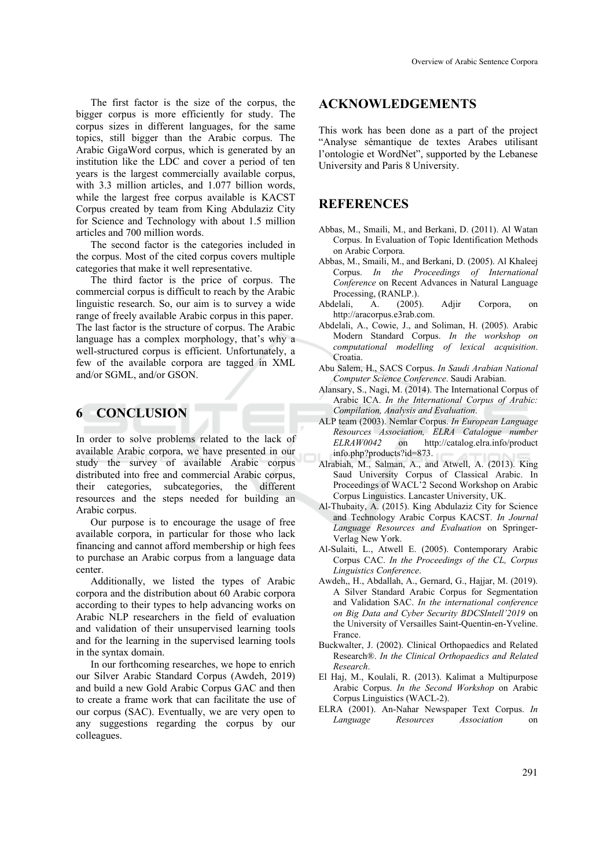The first factor is the size of the corpus, the bigger corpus is more efficiently for study. The corpus sizes in different languages, for the same topics, still bigger than the Arabic corpus. The Arabic GigaWord corpus, which is generated by an institution like the LDC and cover a period of ten years is the largest commercially available corpus, with 3.3 million articles, and 1.077 billion words, while the largest free corpus available is KACST Corpus created by team from King Abdulaziz City for Science and Technology with about 1.5 million articles and 700 million words.

The second factor is the categories included in the corpus. Most of the cited corpus covers multiple categories that make it well representative.

The third factor is the price of corpus. The commercial corpus is difficult to reach by the Arabic linguistic research. So, our aim is to survey a wide range of freely available Arabic corpus in this paper. The last factor is the structure of corpus. The Arabic language has a complex morphology, that's why a well-structured corpus is efficient. Unfortunately, a few of the available corpora are tagged in XML and/or SGML, and/or GSON.

## **6 CONCLUSION**

In order to solve problems related to the lack of available Arabic corpora, we have presented in our study the survey of available Arabic corpus distributed into free and commercial Arabic corpus, their categories, subcategories, the different resources and the steps needed for building an Arabic corpus.

Our purpose is to encourage the usage of free available corpora, in particular for those who lack financing and cannot afford membership or high fees to purchase an Arabic corpus from a language data center.

Additionally, we listed the types of Arabic corpora and the distribution about 60 Arabic corpora according to their types to help advancing works on Arabic NLP researchers in the field of evaluation and validation of their unsupervised learning tools and for the learning in the supervised learning tools in the syntax domain.

In our forthcoming researches, we hope to enrich our Silver Arabic Standard Corpus (Awdeh, 2019) and build a new Gold Arabic Corpus GAC and then to create a frame work that can facilitate the use of our corpus (SAC). Eventually, we are very open to any suggestions regarding the corpus by our colleagues.

#### **ACKNOWLEDGEMENTS**

This work has been done as a part of the project "Analyse sémantique de textes Arabes utilisant l'ontologie et WordNet", supported by the Lebanese University and Paris 8 University.

#### **REFERENCES**

- Abbas, M., Smaili, M., and Berkani, D. (2011). Al Watan Corpus. In Evaluation of Topic Identification Methods on Arabic Corpora.
- Abbas, M., Smaili, M., and Berkani, D. (2005). Al Khaleej Corpus. *In the Proceedings of International Conference* on Recent Advances in Natural Language Processing, (RANLP.).
- Abdelali, A. (2005). Adjir Corpora, on http://aracorpus.e3rab.com.
- Abdelali, A., Cowie, J., and Soliman, H. (2005). Arabic Modern Standard Corpus. *In the workshop on computational modelling of lexical acquisition*. Croatia.
- Abu Salem, H., SACS Corpus. *In Saudi Arabian National Computer Science Conference*. Saudi Arabian.
- Alansary, S., Nagi, M. (2014). The International Corpus of Arabic ICA. *In the International Corpus of Arabic: Compilation, Analysis and Evaluation*.
- ALP team (2003). Nemlar Corpus. *In European Language Resources Association, ELRA Catalogue number*  on http://catalog.elra.info/product info.php?products?id=873.
- Alrabiah, M., Salman, A., and Atwell, A. (2013). King Saud University Corpus of Classical Arabic. In Proceedings of WACL'2 Second Workshop on Arabic Corpus Linguistics. Lancaster University, UK.
- Al-Thubaity, A. (2015). King Abdulaziz City for Science and Technology Arabic Corpus KACST*. In Journal Language Resources and Evaluation* on Springer-Verlag New York.
- Al-Sulaiti, L., Atwell E. (2005). Contemporary Arabic Corpus CAC. *In the Proceedings of the CL, Corpus Linguistics Conference*.
- Awdeh,, H., Abdallah, A., Gernard, G., Hajjar, M. (2019). A Silver Standard Arabic Corpus for Segmentation and Validation SAC. *In the international conference on Big Data and Cyber Security BDCSIntell'2019* on the University of Versailles Saint-Quentin-en-Yveline. France.
- Buckwalter, J. (2002). Clinical Orthopaedics and Related Research®. *In the Clinical Orthopaedics and Related Research*.
- El Haj, M., Koulali, R. (2013). Kalimat a Multipurpose Arabic Corpus. *In the Second Workshop* on Arabic Corpus Linguistics (WACL-2).
- ELRA (2001). An-Nahar Newspaper Text Corpus. *In Language Resources Association* on